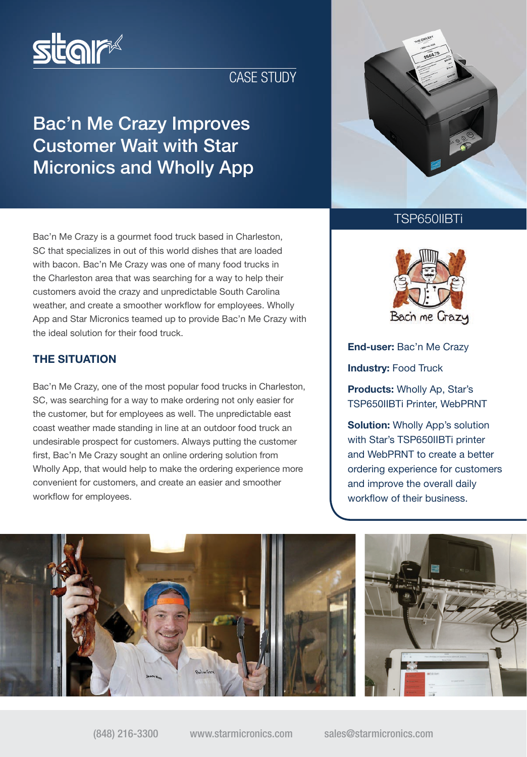

## CASE STUDY

# Bac'n Me Crazy Improves Customer Wait with Star Micronics and Wholly App

### TSP650IIBTi



End-user: Bac'n Me Crazy Industry: Food Truck

Products: Wholly Ap, Star's TSP650IIBTi Printer, WebPRNT

**Solution: Wholly App's solution** with Star's TSP650IIBTi printer and WebPRNT to create a better ordering experience for customers and improve the overall daily workflow of their business.



SC that specializes in out of this world dishes that are loaded with bacon. Bac'n Me Crazy was one of many food trucks in the Charleston area that was searching for a way to help their customers avoid the crazy and unpredictable South Carolina weather, and create a smoother workflow for employees. Wholly App and Star Micronics teamed up to provide Bac'n Me Crazy with the ideal solution for their food truck.

Bac'n Me Crazy is a gourmet food truck based in Charleston,

### THE SITUATION

Bac'n Me Crazy, one of the most popular food trucks in Charleston, SC, was searching for a way to make ordering not only easier for the customer, but for employees as well. The unpredictable east coast weather made standing in line at an outdoor food truck an undesirable prospect for customers. Always putting the customer first, Bac'n Me Crazy sought an online ordering solution from Wholly App, that would help to make the ordering experience more convenient for customers, and create an easier and smoother workflow for employees.